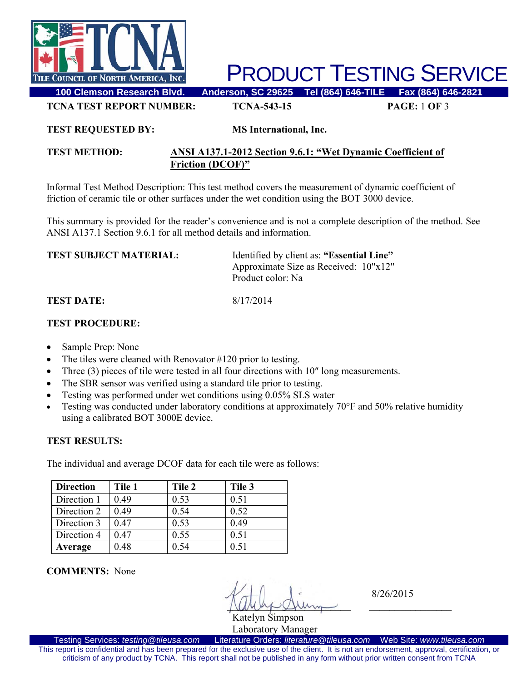

PRODUCT TESTING SERVICE

**TCNA TEST REPORT NUMBER: TCNA-543-15 PAGE:** 1 **OF** 3

#### **TEST REQUESTED BY: MS International, Inc.**

## **TEST METHOD: ANSI A137.1-2012 Section 9.6.1: "Wet Dynamic Coefficient of Friction (DCOF)"**

Informal Test Method Description: This test method covers the measurement of dynamic coefficient of friction of ceramic tile or other surfaces under the wet condition using the BOT 3000 device.

This summary is provided for the reader's convenience and is not a complete description of the method. See ANSI A137.1 Section 9.6.1 for all method details and information.

| <b>TEST SUBJECT MATERIAL:</b> | Identified by client as: "Essential Line"<br>Approximate Size as Received: 10"x12"<br>Product color: Na |
|-------------------------------|---------------------------------------------------------------------------------------------------------|
| TEST DATE: .                  | 8/17/2014                                                                                               |

## **TEST PROCEDURE:**

- Sample Prep: None
- The tiles were cleaned with Renovator #120 prior to testing.
- Three (3) pieces of tile were tested in all four directions with 10" long measurements.
- The SBR sensor was verified using a standard tile prior to testing.
- Testing was performed under wet conditions using 0.05% SLS water
- Testing was conducted under laboratory conditions at approximately 70°F and 50% relative humidity using a calibrated BOT 3000E device.

## **TEST RESULTS:**

The individual and average DCOF data for each tile were as follows:

| <b>Direction</b> | Tile 1 | Tile 2 | Tile 3 |
|------------------|--------|--------|--------|
| Direction 1      | 0.49   | 0.53   | 0.51   |
| Direction 2      | 0.49   | 0.54   | 0.52   |
| Direction 3      | 0.47   | 0.53   | 0.49   |
| Direction 4      | 0.47   | 0.55   | 0.51   |
| Average          | 0.48   | 0.54   | 0.51   |

**COMMENTS:** None

 **\_\_\_\_\_\_\_\_\_\_\_\_\_\_\_\_\_\_\_\_\_\_\_\_ \_\_\_\_\_\_\_\_\_\_\_\_\_\_\_\_** 

8/26/2015

Katelyn Simpson Laboratory Manager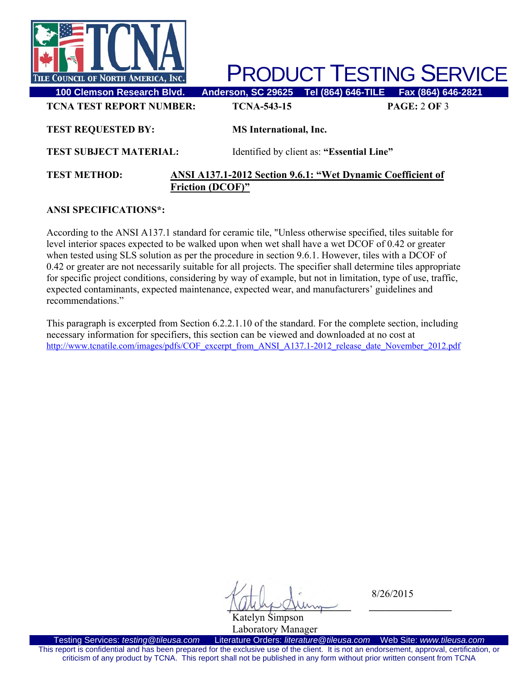

PRODUCT TESTING SERVICE

| <b>TCNA TEST REPORT NUMBER:</b> | <b>TCNA-543-15</b>            |                                           | <b>PAGE: 2 OF 3</b> |
|---------------------------------|-------------------------------|-------------------------------------------|---------------------|
| <b>TEST REQUESTED BY:</b>       | <b>MS</b> International, Inc. |                                           |                     |
| <b>TEST SUBJECT MATERIAL:</b>   |                               | Identified by client as: "Essential Line" |                     |

#### **TEST METHOD: ANSI A137.1-2012 Section 9.6.1: "Wet Dynamic Coefficient of Friction (DCOF)"**

#### **ANSI SPECIFICATIONS\*:**

According to the ANSI A137.1 standard for ceramic tile, "Unless otherwise specified, tiles suitable for level interior spaces expected to be walked upon when wet shall have a wet DCOF of 0.42 or greater when tested using SLS solution as per the procedure in section 9.6.1. However, tiles with a DCOF of 0.42 or greater are not necessarily suitable for all projects. The specifier shall determine tiles appropriate for specific project conditions, considering by way of example, but not in limitation, type of use, traffic, expected contaminants, expected maintenance, expected wear, and manufacturers' guidelines and recommendations."

This paragraph is excerpted from Section 6.2.2.1.10 of the standard. For the complete section, including necessary information for specifiers, this section can be viewed and downloaded at no cost at http://www.tcnatile.com/images/pdfs/COF\_excerpt\_from\_ANSI\_A137.1-2012\_release\_date\_November\_2012.pdf

 **\_\_\_\_\_\_\_\_\_\_\_\_\_\_\_\_\_\_\_\_\_\_\_\_ \_\_\_\_\_\_\_\_\_\_\_\_\_\_\_\_** 

8/26/2015

Katelyn Simpson

Laboratory Manager<br>Literature Orders: literature@tileusa.com Testing Services: *testing@tileusa.com* Literature Orders: *literature@tileusa.com* Web Site: *www.tileusa.com* This report is confidential and has been prepared for the exclusive use of the client. It is not an endorsement, approval, certification, or criticism of any product by TCNA. This report shall not be published in any form without prior written consent from TCNA